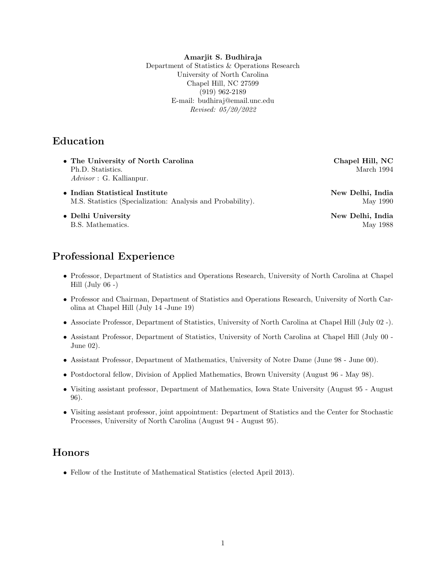#### Amarjit S. Budhiraja

Department of Statistics & Operations Research University of North Carolina Chapel Hill, NC 27599 (919) 962-2189 E-mail: budhiraj@email.unc.edu Revised: 05/20/2022

## Education

- The University of North Carolina Chapel Hill, NC Ph.D. Statistics. March 1994 Advisor : G. Kallianpur.
- Indian Statistical Institute New Delhi, India M.S. Statistics (Specialization: Analysis and Probability). May 1990
- Delhi University New Delhi, India

## Professional Experience

- Professor, Department of Statistics and Operations Research, University of North Carolina at Chapel Hill (July  $06 -$ )
- Professor and Chairman, Department of Statistics and Operations Research, University of North Carolina at Chapel Hill (July 14 -June 19)
- Associate Professor, Department of Statistics, University of North Carolina at Chapel Hill (July 02 -).
- Assistant Professor, Department of Statistics, University of North Carolina at Chapel Hill (July 00 June 02).
- Assistant Professor, Department of Mathematics, University of Notre Dame (June 98 June 00).
- Postdoctoral fellow, Division of Applied Mathematics, Brown University (August 96 May 98).
- Visiting assistant professor, Department of Mathematics, Iowa State University (August 95 August 96).
- Visiting assistant professor, joint appointment: Department of Statistics and the Center for Stochastic Processes, University of North Carolina (August 94 - August 95).

## Honors

• Fellow of the Institute of Mathematical Statistics (elected April 2013).

B.S. Mathematics. May 1988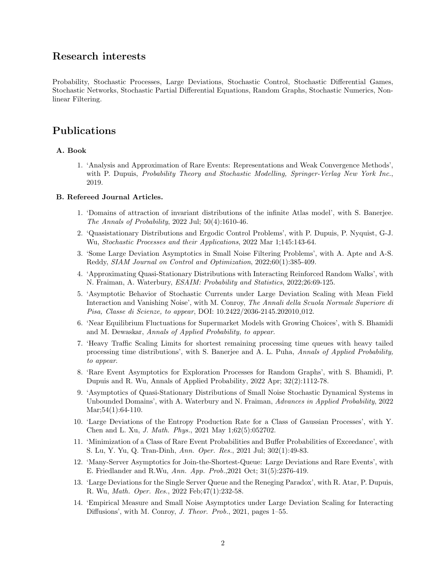## Research interests

Probability, Stochastic Processes, Large Deviations, Stochastic Control, Stochastic Differential Games, Stochastic Networks, Stochastic Partial Differential Equations, Random Graphs, Stochastic Numerics, Nonlinear Filtering.

## Publications

### A. Book

1. 'Analysis and Approximation of Rare Events: Representations and Weak Convergence Methods', with P. Dupuis, Probability Theory and Stochastic Modelling, Springer-Verlag New York Inc., 2019.

#### B. Refereed Journal Articles.

- 1. 'Domains of attraction of invariant distributions of the infinite Atlas model', with S. Banerjee. The Annals of Probability, 2022 Jul;  $50(4):1610-46$ .
- 2. 'Quasistationary Distributions and Ergodic Control Problems', with P. Dupuis, P. Nyquist, G-J. Wu, Stochastic Processes and their Applications, 2022 Mar 1;145:143-64.
- 3. 'Some Large Deviation Asymptotics in Small Noise Filtering Problems', with A. Apte and A-S. Reddy, SIAM Journal on Control and Optimization, 2022;60(1):385-409.
- 4. 'Approximating Quasi-Stationary Distributions with Interacting Reinforced Random Walks', with N. Fraiman, A. Waterbury, ESAIM: Probability and Statistics, 2022;26:69-125.
- 5. 'Asymptotic Behavior of Stochastic Currents under Large Deviation Scaling with Mean Field Interaction and Vanishing Noise', with M. Conroy, The Annali della Scuola Normale Superiore di Pisa, Classe di Scienze, to appear, DOI: 10.2422/2036-2145.202010 012.
- 6. 'Near Equilibrium Fluctuations for Supermarket Models with Growing Choices', with S. Bhamidi and M. Dewaskar, Annals of Applied Probability, to appear.
- 7. 'Heavy Traffic Scaling Limits for shortest remaining processing time queues with heavy tailed processing time distributions', with S. Banerjee and A. L. Puha, Annals of Applied Probability, to appear.
- 8. 'Rare Event Asymptotics for Exploration Processes for Random Graphs', with S. Bhamidi, P. Dupuis and R. Wu, Annals of Applied Probability, 2022 Apr; 32(2):1112-78.
- 9. 'Asymptotics of Quasi-Stationary Distributions of Small Noise Stochastic Dynamical Systems in Unbounded Domains', with A. Waterbury and N. Fraiman, Advances in Applied Probability, 2022  $Mar; 54(1): 64-110.$
- 10. 'Large Deviations of the Entropy Production Rate for a Class of Gaussian Processes', with Y. Chen and L. Xu, J. Math. Phys., 2021 May 1;62(5):052702.
- 11. 'Minimization of a Class of Rare Event Probabilities and Buffer Probabilities of Exceedance', with S. Lu, Y. Yu, Q. Tran-Dinh, Ann. Oper. Res., 2021 Jul; 302(1):49-83.
- 12. 'Many-Server Asymptotics for Join-the-Shortest-Queue: Large Deviations and Rare Events', with E. Friedlander and R.Wu, Ann. App. Prob.,2021 Oct; 31(5):2376-419.
- 13. 'Large Deviations for the Single Server Queue and the Reneging Paradox', with R. Atar, P. Dupuis, R. Wu, Math. Oper. Res., 2022 Feb;47(1):232-58.
- 14. 'Empirical Measure and Small Noise Asymptotics under Large Deviation Scaling for Interacting Diffusions', with M. Conroy, J. Theor. Prob., 2021, pages 1–55.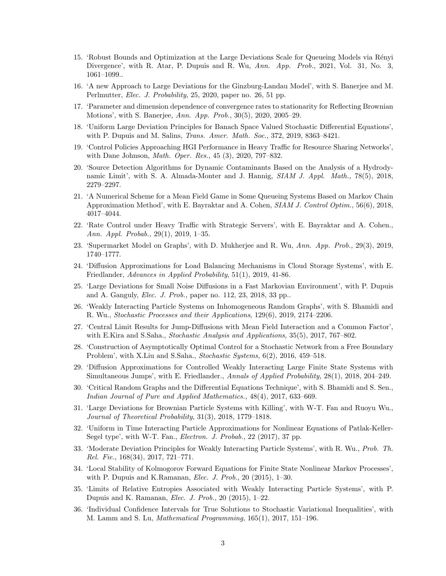- 15. 'Robust Bounds and Optimization at the Large Deviations Scale for Queueing Models via Rényi Divergence', with R. Atar, P. Dupuis and R. Wu, Ann. App. Prob., 2021, Vol. 31, No. 3, 1061–1099..
- 16. 'A new Approach to Large Deviations for the Ginzburg-Landau Model', with S. Banerjee and M. Perlmutter, *Elec. J. Probability*, 25, 2020, paper no. 26, 51 pp.
- 17. 'Parameter and dimension dependence of convergence rates to stationarity for Reflecting Brownian Motions', with S. Banerjee, Ann. App. Prob., 30(5), 2020, 2005–29.
- 18. 'Uniform Large Deviation Principles for Banach Space Valued Stochastic Differential Equations', with P. Dupuis and M. Salins, *Trans. Amer. Math. Soc.*, 372, 2019, 8363-8421.
- 19. 'Control Policies Approaching HGI Performance in Heavy Traffic for Resource Sharing Networks', with Dane Johnson, Math. Oper. Res., 45 (3), 2020, 797–832.
- 20. 'Source Detection Algorithms for Dynamic Contaminants Based on the Analysis of a Hydrodynamic Limit', with S. A. Almada-Monter and J. Hannig, SIAM J. Appl. Math., 78(5), 2018, 2279–2297.
- 21. 'A Numerical Scheme for a Mean Field Game in Some Queueing Systems Based on Markov Chain Approximation Method', with E. Bayraktar and A. Cohen, SIAM J. Control Optim., 56(6), 2018, 4017–4044.
- 22. 'Rate Control under Heavy Traffic with Strategic Servers', with E. Bayraktar and A. Cohen., Ann. Appl. Probab., 29(1), 2019, 1–35.
- 23. 'Supermarket Model on Graphs', with D. Mukherjee and R. Wu, Ann. App. Prob., 29(3), 2019, 1740–1777.
- 24. 'Diffusion Approximations for Load Balancing Mechanisms in Cloud Storage Systems', with E. Friedlander, Advances in Applied Probability, 51(1), 2019, 41-86.
- 25. 'Large Deviations for Small Noise Diffusions in a Fast Markovian Environment', with P. Dupuis and A. Ganguly, Elec. J. Prob., paper no. 112, 23, 2018, 33 pp..
- 26. 'Weakly Interacting Particle Systems on Inhomogeneous Random Graphs', with S. Bhamidi and R. Wu., Stochastic Processes and their Applications, 129(6), 2019, 2174–2206.
- 27. 'Central Limit Results for Jump-Diffusions with Mean Field Interaction and a Common Factor', with E.Kira and S.Saha., *Stochastic Analysis and Applications*, 35(5), 2017, 767–802.
- 28. 'Construction of Asymptotically Optimal Control for a Stochastic Network from a Free Boundary Problem', with X.Liu and S.Saha., Stochastic Systems, 6(2), 2016, 459–518.
- 29. 'Diffusion Approximations for Controlled Weakly Interacting Large Finite State Systems with Simultaneous Jumps', with E. Friedlander., Annals of Applied Probability, 28(1), 2018, 204–249.
- 30. 'Critical Random Graphs and the Differential Equations Technique', with S. Bhamidi and S. Sen., Indian Journal of Pure and Applied Mathematics., 48(4), 2017, 633–669.
- 31. 'Large Deviations for Brownian Particle Systems with Killing', with W-T. Fan and Ruoyu Wu., Journal of Theoretical Probability, 31(3), 2018, 1779–1818.
- 32. 'Uniform in Time Interacting Particle Approximations for Nonlinear Equations of Patlak-Keller-Segel type', with W-T. Fan., *Electron. J. Probab.*, 22 (2017), 37 pp.
- 33. 'Moderate Deviation Principles for Weakly Interacting Particle Systems', with R. Wu., Prob. Th. Rel. Fie., 168(34), 2017, 721–771.
- 34. 'Local Stability of Kolmogorov Forward Equations for Finite State Nonlinear Markov Processes', with P. Dupuis and K.Ramanan, *Elec. J. Prob.*, 20  $(2015)$ , 1–30.
- 35. 'Limits of Relative Entropies Associated with Weakly Interacting Particle Systems', with P. Dupuis and K. Ramanan, Elec. J. Prob., 20 (2015), 1–22.
- 36. 'Individual Confidence Intervals for True Solutions to Stochastic Variational Inequalities', with M. Lamm and S. Lu, Mathematical Programming, 165(1), 2017, 151–196.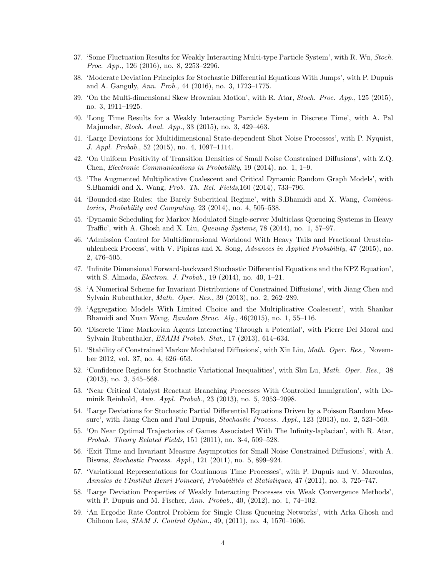- 37. 'Some Fluctuation Results for Weakly Interacting Multi-type Particle System', with R. Wu, Stoch. Proc. App., 126 (2016), no. 8, 2253–2296.
- 38. 'Moderate Deviation Principles for Stochastic Differential Equations With Jumps', with P. Dupuis and A. Ganguly, Ann. Prob., 44 (2016), no. 3, 1723–1775.
- 39. 'On the Multi-dimensional Skew Brownian Motion', with R. Atar, Stoch. Proc. App., 125 (2015), no. 3, 1911–1925.
- 40. 'Long Time Results for a Weakly Interacting Particle System in Discrete Time', with A. Pal Majumdar, Stoch. Anal. App., 33 (2015), no. 3, 429–463.
- 41. 'Large Deviations for Multidimensional State-dependent Shot Noise Processes', with P. Nyquist, J. Appl. Probab., 52 (2015), no. 4, 1097–1114.
- 42. 'On Uniform Positivity of Transition Densities of Small Noise Constrained Diffusions', with Z.Q. Chen, Electronic Communications in Probability, 19 (2014), no. 1, 1–9.
- 43. 'The Augmented Multiplicative Coalescent and Critical Dynamic Random Graph Models', with S.Bhamidi and X. Wang, Prob. Th. Rel. Fields,160 (2014), 733–796.
- 44. 'Bounded-size Rules: the Barely Subcritical Regime', with S.Bhamidi and X. Wang, Combinatorics, Probability and Computing, 23 (2014), no. 4, 505–538.
- 45. 'Dynamic Scheduling for Markov Modulated Single-server Multiclass Queueing Systems in Heavy Traffic', with A. Ghosh and X. Liu, Queuing Systems, 78 (2014), no. 1, 57–97.
- 46. 'Admission Control for Multidimensional Workload With Heavy Tails and Fractional Ornsteinuhlenbeck Process', with V. Pipiras and X. Song, Advances in Applied Probability, 47 (2015), no. 2, 476–505.
- 47. 'Infinite Dimensional Forward-backward Stochastic Differential Equations and the KPZ Equation', with S. Almada, Electron. J. Probab., 19 (2014), no. 40, 1–21.
- 48. 'A Numerical Scheme for Invariant Distributions of Constrained Diffusions', with Jiang Chen and Sylvain Rubenthaler, Math. Oper. Res., 39 (2013), no. 2, 262–289.
- 49. 'Aggregation Models With Limited Choice and the Multiplicative Coalescent', with Shankar Bhamidi and Xuan Wang, Random Struc. Alg., 46(2015), no. 1, 55–116.
- 50. 'Discrete Time Markovian Agents Interacting Through a Potential', with Pierre Del Moral and Sylvain Rubenthaler, ESAIM Probab. Stat., 17 (2013), 614–634.
- 51. 'Stability of Constrained Markov Modulated Diffusions', with Xin Liu, Math. Oper. Res., November 2012, vol. 37, no. 4, 626–653.
- 52. 'Confidence Regions for Stochastic Variational Inequalities', with Shu Lu, Math. Oper. Res., 38 (2013), no. 3, 545–568.
- 53. 'Near Critical Catalyst Reactant Branching Processes With Controlled Immigration', with Dominik Reinhold, Ann. Appl. Probab., 23 (2013), no. 5, 2053–2098.
- 54. 'Large Deviations for Stochastic Partial Differential Equations Driven by a Poisson Random Measure', with Jiang Chen and Paul Dupuis, Stochastic Process. Appl., 123 (2013), no. 2, 523–560.
- 55. 'On Near Optimal Trajectories of Games Associated With The Infinity-laplacian', with R. Atar, Probab. Theory Related Fields, 151 (2011), no. 3-4, 509–528.
- 56. 'Exit Time and Invariant Measure Asymptotics for Small Noise Constrained Diffusions', with A. Biswas, Stochastic Process. Appl., 121 (2011), no. 5, 899–924.
- 57. 'Variational Representations for Continuous Time Processes', with P. Dupuis and V. Maroulas, Annales de l'Institut Henri Poincaré, Probabilités et Statistiques, 47 (2011), no. 3, 725–747.
- 58. 'Large Deviation Properties of Weakly Interacting Processes via Weak Convergence Methods', with P. Dupuis and M. Fischer, Ann. Probab., 40, (2012), no. 1, 74–102.
- 59. 'An Ergodic Rate Control Problem for Single Class Queueing Networks', with Arka Ghosh and Chihoon Lee, SIAM J. Control Optim., 49, (2011), no. 4, 1570–1606.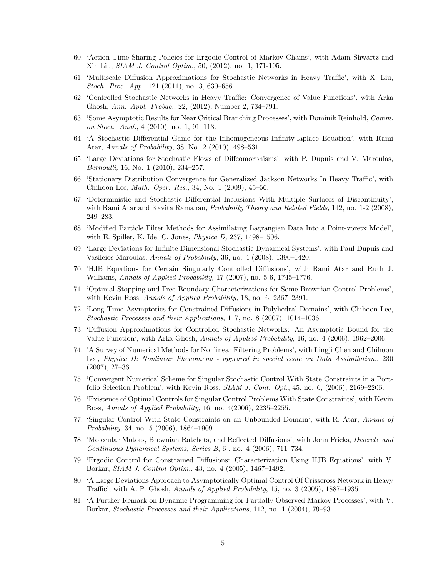- 60. 'Action Time Sharing Policies for Ergodic Control of Markov Chains', with Adam Shwartz and Xin Liu, SIAM J. Control Optim., 50, (2012), no. 1, 171-195.
- 61. 'Multiscale Diffusion Approximations for Stochastic Networks in Heavy Traffic', with X. Liu, Stoch. Proc. App., 121 (2011), no. 3, 630–656.
- 62. 'Controlled Stochastic Networks in Heavy Traffic: Convergence of Value Functions', with Arka Ghosh, Ann. Appl. Probab., 22, (2012), Number 2, 734–791.
- 63. 'Some Asymptotic Results for Near Critical Branching Processes', with Dominik Reinhold, Comm. on Stoch. Anal., 4 (2010), no. 1, 91–113.
- 64. 'A Stochastic Differential Game for the Inhomogeneous Infinity-laplace Equation', with Rami Atar, Annals of Probability, 38, No. 2 (2010), 498–531.
- 65. 'Large Deviations for Stochastic Flows of Diffeomorphisms', with P. Dupuis and V. Maroulas, Bernoulli, 16, No. 1 (2010), 234–257.
- 66. 'Stationary Distribution Convergence for Generalized Jackson Networks In Heavy Traffic', with Chihoon Lee, Math. Oper. Res., 34, No. 1 (2009), 45–56.
- 67. 'Deterministic and Stochastic Differential Inclusions With Multiple Surfaces of Discontinuity', with Rami Atar and Kavita Ramanan, *Probability Theory and Related Fields*, 142, no. 1-2 (2008), 249–283.
- 68. 'Modified Particle Filter Methods for Assimilating Lagrangian Data Into a Point-voretx Model', with E. Spiller, K. Ide, C. Jones, Physica D, 237, 1498–1506.
- 69. 'Large Deviations for Infinite Dimensional Stochastic Dynamical Systems', with Paul Dupuis and Vasileios Maroulas, Annals of Probability, 36, no. 4 (2008), 1390–1420.
- 70. 'HJB Equations for Certain Singularly Controlled Diffusions', with Rami Atar and Ruth J. Williams, Annals of Applied Probability, 17 (2007), no. 5-6, 1745–1776.
- 71. 'Optimal Stopping and Free Boundary Characterizations for Some Brownian Control Problems', with Kevin Ross, *Annals of Applied Probability*, 18, no. 6, 2367–2391.
- 72. 'Long Time Asymptotics for Constrained Diffusions in Polyhedral Domains', with Chihoon Lee, Stochastic Processes and their Applications, 117, no. 8 (2007), 1014–1036.
- 73. 'Diffusion Approximations for Controlled Stochastic Networks: An Asymptotic Bound for the Value Function', with Arka Ghosh, Annals of Applied Probability, 16, no. 4 (2006), 1962–2006.
- 74. 'A Survey of Numerical Methods for Nonlinear Filtering Problems', with Lingji Chen and Chihoon Lee, Physica D: Nonlinear Phenomena - appeared in special issue on Data Assimilation., 230 (2007), 27–36.
- 75. 'Convergent Numerical Scheme for Singular Stochastic Control With State Constraints in a Portfolio Selection Problem', with Kevin Ross, SIAM J. Cont. Opt., 45, no. 6, (2006), 2169–2206.
- 76. 'Existence of Optimal Controls for Singular Control Problems With State Constraints', with Kevin Ross, Annals of Applied Probability, 16, no. 4(2006), 2235–2255.
- 77. 'Singular Control With State Constraints on an Unbounded Domain', with R. Atar, Annals of Probability, 34, no. 5 (2006), 1864–1909.
- 78. 'Molecular Motors, Brownian Ratchets, and Reflected Diffusions', with John Fricks, Discrete and Continuous Dynamical Systems, Series B, 6 , no. 4 (2006), 711–734.
- 79. 'Ergodic Control for Constrained Diffusions: Characterization Using HJB Equations', with V. Borkar, SIAM J. Control Optim., 43, no. 4 (2005), 1467–1492.
- 80. 'A Large Deviations Approach to Asymptotically Optimal Control Of Crisscross Network in Heavy Traffic', with A. P. Ghosh, Annals of Applied Probability, 15, no. 3 (2005), 1887–1935.
- 81. 'A Further Remark on Dynamic Programming for Partially Observed Markov Processes', with V. Borkar, Stochastic Processes and their Applications, 112, no. 1 (2004), 79–93.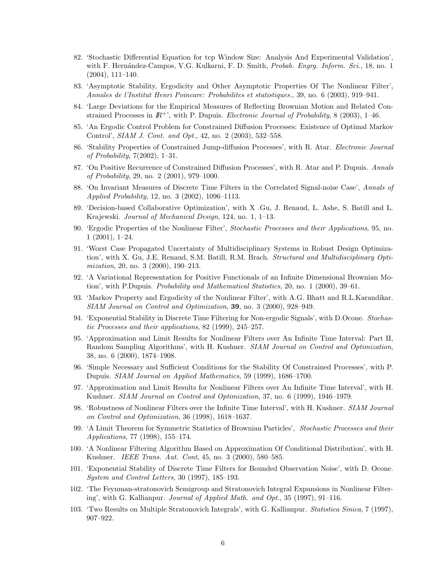- 82. 'Stochastic Differential Equation for tcp Window Size: Analysis And Experimental Validation', with F. Hernández-Campos, V.G. Kulkarni, F. D. Smith, Probab. Engrg. Inform. Sci., 18, no. 1 (2004), 111–140.
- 83. 'Asymptotic Stability, Ergodicity and Other Asymptotic Properties Of The Nonlinear Filter', Annales de l'Institut Henri Poincare: Probabilites et statistiques., 39, no. 6 (2003), 919–941.
- 84. 'Large Deviations for the Empirical Measures of Reflecting Brownian Motion and Related Constrained Processes in  $\mathbb{R}^+$ , with P. Dupuis. *Electronic Journal of Probability*, 8 (2003), 1–46.
- 85. 'An Ergodic Control Problem for Constrained Diffusion Processes: Existence of Optimal Markov Control', SIAM J. Cont. and Opt., 42, no. 2 (2003), 532–558.
- 86. 'Stability Properties of Constrained Jump-diffusion Processes', with R. Atar. Electronic Journal of Probability, 7(2002), 1–31.
- 87. 'On Positive Recurrence of Constrained Diffusion Processes', with R. Atar and P. Dupuis. Annals of Probability, 29, no. 2 (2001), 979–1000.
- 88. 'On Invariant Measures of Discrete Time Filters in the Correlated Signal-noise Case', Annals of Applied Probability, 12, no. 3 (2002), 1096–1113.
- 89. 'Decision-based Collaborative Optimization', with X .Gu, J. Renaud, L. Ashe, S. Batill and L. Krajewski. Journal of Mechanical Design, 124, no. 1, 1–13.
- 90. 'Ergodic Properties of the Nonlinear Filter', Stochastic Processes and their Applications, 95, no. 1 (2001), 1–24.
- 91. 'Worst Case Propagated Uncertainty of Multidisciplinary Systems in Robust Design Optimization', with X. Gu, J.E. Renaud, S.M. Batill, R.M. Brach. *Structural and Multidisciplinary Opti*mization, 20, no. 3 (2000), 190–213.
- 92. 'A Variational Representation for Positive Functionals of an Infinite Dimensional Brownian Motion', with P.Dupuis. Probability and Mathematical Statistics, 20, no. 1 (2000), 39–61.
- 93. 'Markov Property and Ergodicity of the Nonlinear Filter', with A.G. Bhatt and R.L.Karandikar. SIAM Journal on Control and Optimization, 39, no. 3 (2000), 928–949.
- 94. 'Exponential Stability in Discrete Time Filtering for Non-ergodic Signals', with D.Ocone. Stochastic Processes and their applications, 82 (1999), 245–257.
- 95. 'Approximation and Limit Results for Nonlinear Filters over An Infinite Time Interval: Part II, Random Sampling Algorithms', with H. Kushner. SIAM Journal on Control and Optimization, 38, no. 6 (2000), 1874–1908.
- 96. 'Simple Necessary and Sufficient Conditions for the Stability Of Constrained Processes', with P. Dupuis. SIAM Journal on Applied Mathematics, 59 (1999), 1686–1700.
- 97. 'Approximation and Limit Results for Nonlinear Filters over An Infinite Time Interval', with H. Kushner. SIAM Journal on Control and Optimization, 37, no. 6 (1999), 1946–1979.
- 98. 'Robustness of Nonlinear Filters over the Infinite Time Interval', with H. Kushner. SIAM Journal on Control and Optimization, 36 (1998), 1618–1637.
- 99. 'A Limit Theorem for Symmetric Statistics of Brownian Particles', Stochastic Processes and their Applications, 77 (1998), 155–174.
- 100. 'A Nonlinear Filtering Algorithm Based on Approximation Of Conditional Distribution', with H. Kushner. IEEE Trans. Aut. Cont, 45, no. 3 (2000), 580–585.
- 101. 'Exponential Stability of Discrete Time Filters for Bounded Observation Noise', with D. Ocone. System and Control Letters, 30 (1997), 185–193.
- 102. 'The Feynman-stratonovich Semigroup and Stratonovich Integral Expansions in Nonlinear Filtering', with G. Kallianpur. Journal of Applied Math. and Opt., 35 (1997), 91–116.
- 103. 'Two Results on Multiple Stratonovich Integrals', with G. Kallianpur. Statistica Sinica, 7 (1997), 907–922.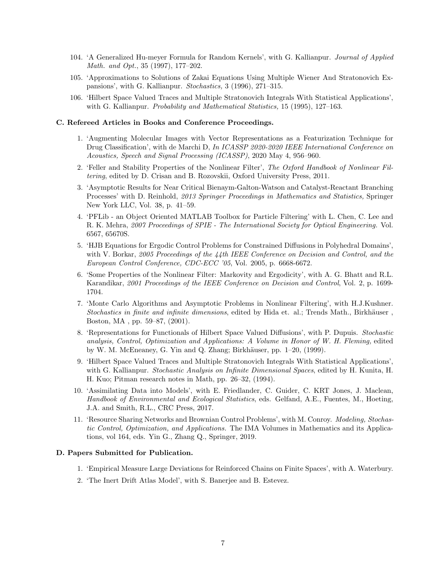- 104. 'A Generalized Hu-meyer Formula for Random Kernels', with G. Kallianpur. Journal of Applied Math. and Opt., 35 (1997), 177–202.
- 105. 'Approximations to Solutions of Zakai Equations Using Multiple Wiener And Stratonovich Expansions', with G. Kallianpur. Stochastics, 3 (1996), 271–315.
- 106. 'Hilbert Space Valued Traces and Multiple Stratonovich Integrals With Statistical Applications', with G. Kallianpur. *Probability and Mathematical Statistics*, 15 (1995), 127–163.

#### C. Refereed Articles in Books and Conference Proceedings.

- 1. 'Augmenting Molecular Images with Vector Representations as a Featurization Technique for Drug Classification', with de Marchi D, In ICASSP 2020-2020 IEEE International Conference on Acoustics, Speech and Signal Processing (ICASSP), 2020 May 4, 956–960.
- 2. 'Feller and Stability Properties of the Nonlinear Filter', The Oxford Handbook of Nonlinear Filtering, edited by D. Crisan and B. Rozovskii, Oxford University Press, 2011.
- 3. 'Asymptotic Results for Near Critical Bienaym-Galton-Watson and Catalyst-Reactant Branching Processes' with D. Reinhold, 2013 Springer Proceedings in Mathematics and Statistics, Springer New York LLC, Vol. 38, p. 41–59.
- 4. 'PFLib an Object Oriented MATLAB Toolbox for Particle Filtering' with L. Chen, C. Lee and R. K. Mehra, 2007 Proceedings of SPIE - The International Society for Optical Engineering. Vol. 6567, 65670S.
- 5. 'HJB Equations for Ergodic Control Problems for Constrained Diffusions in Polyhedral Domains', with V. Borkar, 2005 Proceedings of the 44th IEEE Conference on Decision and Control, and the European Control Conference, CDC-ECC '05, Vol. 2005, p. 6668-6672.
- 6. 'Some Properties of the Nonlinear Filter: Markovity and Ergodicity', with A. G. Bhatt and R.L. Karandikar, 2001 Proceedings of the IEEE Conference on Decision and Control, Vol. 2, p. 1699-1704.
- 7. 'Monte Carlo Algorithms and Asymptotic Problems in Nonlinear Filtering', with H.J.Kushner. Stochastics in finite and infinite dimensions, edited by Hida et. al.; Trends Math., Birkhäuser, Boston, MA , pp. 59–87, (2001).
- 8. 'Representations for Functionals of Hilbert Space Valued Diffusions', with P. Dupuis. Stochastic analysis, Control, Optimization and Applications: A Volume in Honor of W. H. Fleming, edited by W. M. McEneaney, G. Yin and Q. Zhang; Birkhäuser, pp.  $1-20$ , (1999).
- 9. 'Hilbert Space Valued Traces and Multiple Stratonovich Integrals With Statistical Applications', with G. Kallianpur. *Stochastic Analysis on Infinite Dimensional Spaces*, edited by H. Kunita, H. H. Kuo; Pitman research notes in Math, pp. 26–32, (1994).
- 10. 'Assimilating Data into Models', with E. Friedlander, C. Guider, C. KRT Jones, J. Maclean, Handbook of Environmental and Ecological Statistics, eds. Gelfand, A.E., Fuentes, M., Hoeting, J.A. and Smith, R.L., CRC Press, 2017.
- 11. 'Resource Sharing Networks and Brownian Control Problems', with M. Conroy. Modeling, Stochastic Control, Optimization, and Applications. The IMA Volumes in Mathematics and its Applications, vol 164, eds. Yin G., Zhang Q., Springer, 2019.

#### D. Papers Submitted for Publication.

- 1. 'Empirical Measure Large Deviations for Reinforced Chains on Finite Spaces', with A. Waterbury.
- 2. 'The Inert Drift Atlas Model', with S. Banerjee and B. Estevez.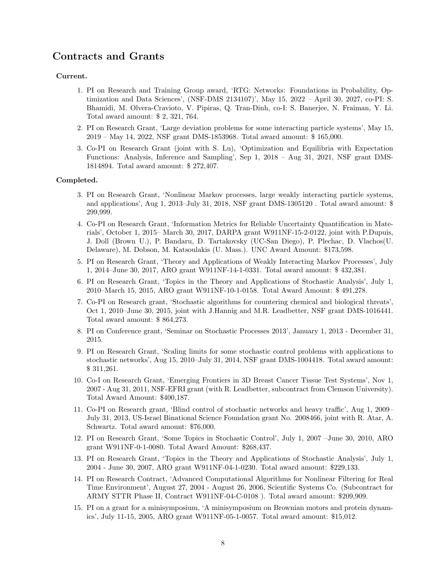## Contracts and Grants

#### Current.

- 1. PI on Research and Training Group award, 'RTG: Networks: Foundations in Probability, Optimization and Data Sciences', (NSF-DMS 2134107)', May 15, 2022 – April 30, 2027, co-PI: S. Bhamidi, M. Olvera-Cravioto, V. Pipiras, Q. Tran-Dinh, co-I: S. Banerjee, N. Fraiman, Y. Li. Total award amount: \$ 2, 321, 764.
- 2. PI on Research Grant, 'Large deviation problems for some interacting particle systems', May 15, 2019 – May 14, 2022, NSF grant DMS-1853968. Total award amount: \$ 165,000.
- 3. Co-PI on Research Grant (joint with S. Lu), 'Optimization and Equilibria with Expectation Functions: Analysis, Inference and Sampling', Sep 1, 2018 – Aug 31, 2021, NSF grant DMS-1814894. Total award amount: \$ 272,407.

#### Completed.

- 3. PI on Research Grant, 'Nonlinear Markov processes, large weakly interacting particle systems, and applications', Aug 1, 2013–July 31, 2018, NSF grant DMS-1305120 . Total award amount: \$ 299,999.
- 4. Co-PI on Research Grant, 'Information Metrics for Reliable Uncertainty Quantification in Materials', October 1, 2015– March 30, 2017, DARPA grant W911NF-15-2-0122, joint with P.Dupuis, J. Doll (Brown U.), P. Bandaru, D. Tartakovsky (UC-San Diego), P. Plechac, D. Vlachos(U. Delaware), M. Dobson, M. Katsoulakis (U. Mass.). UNC Award Amount: \$173,598.
- 5. PI on Research Grant, 'Theory and Applications of Weakly Interacting Markov Processes', July 1, 2014–June 30, 2017, ARO grant W911NF-14-1-0331. Total award amount: \$ 432,381.
- 6. PI on Research Grant, 'Topics in the Theory and Applications of Stochastic Analysis', July 1, 2010–March 15, 2015, ARO grant W911NF-10-1-0158. Total Award Amount: \$ 491,278.
- 7. Co-PI on Research grant, 'Stochastic algorithms for countering chemical and biological threats', Oct 1, 2010–June 30, 2015, joint with J.Hannig and M.R. Leadbetter, NSF grant DMS-1016441. Total award amount: \$ 864,273.
- 8. PI on Conference grant, 'Seminar on Stochastic Processes 2013', January 1, 2013 December 31, 2015.
- 9. PI on Research Grant, 'Scaling limits for some stochastic control problems with applications to stochastic networks', Aug 15, 2010–July 31, 2014, NSF grant DMS-1004418. Total award amount: \$ 311,261.
- 10. Co-I on Research Grant, 'Emerging Frontiers in 3D Breast Cancer Tissue Test Systems', Nov 1, 2007 - Aug 31, 2011, NSF-EFRI grant (with R. Leadbetter, subcontract from Clemson University). Total Award Amount: \$400,187.
- 11. Co-PI on Research grant, 'Blind control of stochastic networks and heavy traffic', Aug 1, 2009– July 31, 2013, US-Israel Binational Science Foundation grant No. 2008466, joint with R. Atar, A. Schwartz. Total award amount: \$76,000.
- 12. PI on Research Grant, 'Some Topics in Stochastic Control', July 1, 2007 –June 30, 2010, ARO grant W911NF-0-1-0080. Total Award Amount: \$268,437.
- 13. PI on Research Grant, 'Topics in the Theory and Applications of Stochastic Analysis', July 1, 2004 - June 30, 2007, ARO grant W911NF-04-1-0230. Total award amount: \$229,133.
- 14. PI on Research Contract, 'Advanced Computational Algorithms for Nonlinear Filtering for Real Time Environment', August 27, 2004 - August 26, 2006, Scientific Systems Co. (Subcontract for ARMY STTR Phase II, Contract W911NF-04-C-0108 ). Total award amount: \$209,909.
- 15. PI on a grant for a minisymposium, 'A minisymposium on Brownian motors and protein dynamics', July 11-15, 2005, ARO grant W911NF-05-1-0057. Total award amount: \$15,012.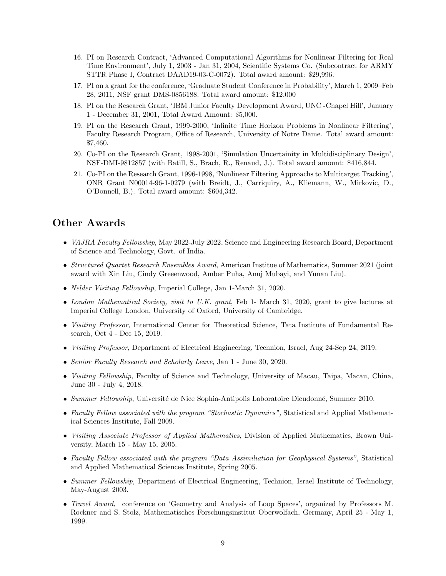- 16. PI on Research Contract, 'Advanced Computational Algorithms for Nonlinear Filtering for Real Time Environment', July 1, 2003 - Jan 31, 2004, Scientific Systems Co. (Subcontract for ARMY STTR Phase I, Contract DAAD19-03-C-0072). Total award amount: \$29,996.
- 17. PI on a grant for the conference, 'Graduate Student Conference in Probability', March 1, 2009–Feb 28, 2011, NSF grant DMS-0856188. Total award amount: \$12,000
- 18. PI on the Research Grant, 'IBM Junior Faculty Development Award, UNC -Chapel Hill', January 1 - December 31, 2001, Total Award Amount: \$5,000.
- 19. PI on the Research Grant, 1999-2000, 'Infinite Time Horizon Problems in Nonlinear Filtering', Faculty Research Program, Office of Research, University of Notre Dame. Total award amount: \$7,460.
- 20. Co-PI on the Research Grant, 1998-2001, 'Simulation Uncertainity in Multidisciplinary Design', NSF-DMI-9812857 (with Batill, S., Brach, R., Renaud, J.). Total award amount: \$416,844.
- 21. Co-PI on the Research Grant, 1996-1998, 'Nonlinear Filtering Approachs to Multitarget Tracking', ONR Grant N00014-96-1-0279 (with Breidt, J., Carriquiry, A., Kliemann, W., Mirkovic, D., O'Donnell, B.). Total award amount: \$604,342.

## Other Awards

- *VAJRA Faculty Fellowship*, May 2022-July 2022, Science and Engineering Research Board, Department of Science and Technology, Govt. of India.
- Structured Quartet Research Ensembles Award, American Institue of Mathematics, Summer 2021 (joint award with Xin Liu, Cindy Greeenwood, Amber Puha, Anuj Mubayi, and Yunan Liu).
- Nelder Visiting Fellowship, Imperial College, Jan 1-March 31, 2020.
- London Mathematical Society, visit to U.K. grant, Feb 1- March 31, 2020, grant to give lectures at Imperial College London, University of Oxford, University of Cambridge.
- Visiting Professor, International Center for Theoretical Science, Tata Institute of Fundamental Research, Oct 4 - Dec 15, 2019.
- Visiting Professor, Department of Electrical Engineering, Technion, Israel, Aug 24-Sep 24, 2019.
- Senior Faculty Research and Scholarly Leave, Jan 1 June 30, 2020.
- Visiting Fellowship, Faculty of Science and Technology, University of Macau, Taipa, Macau, China, June 30 - July 4, 2018.
- Summer Fellowship, Université de Nice Sophia-Antipolis Laboratoire Dieudonné, Summer 2010.
- Faculty Fellow associated with the program "Stochastic Dynamics", Statistical and Applied Mathematical Sciences Institute, Fall 2009.
- Visiting Associate Professor of Applied Mathematics, Division of Applied Mathematics, Brown University, March 15 - May 15, 2005.
- Faculty Fellow associated with the program "Data Assimiliation for Geophysical Systems", Statistical and Applied Mathematical Sciences Institute, Spring 2005.
- Summer Fellowship, Department of Electrical Engineering, Technion, Israel Institute of Technology, May-August 2003.
- Travel Award, conference on 'Geometry and Analysis of Loop Spaces', organized by Professors M. Rockner and S. Stolz, Mathematisches Forschungsinstitut Oberwolfach, Germany, April 25 - May 1, 1999.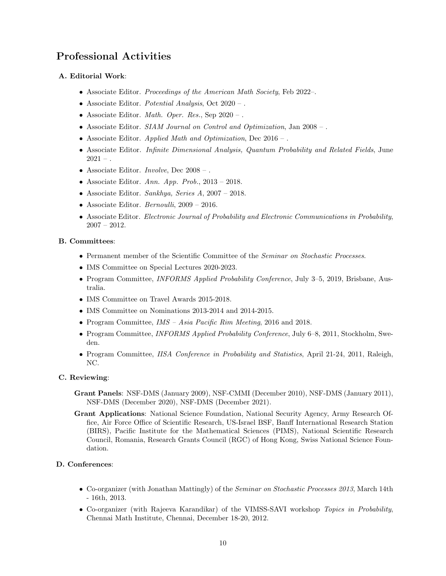# Professional Activities

### A. Editorial Work:

- Associate Editor. Proceedings of the American Math Society, Feb 2022–.
- Associate Editor. Potential Analysis, Oct 2020 .
- Associate Editor. *Math. Oper. Res.*, Sep  $2020 -$ .
- Associate Editor. SIAM Journal on Control and Optimization, Jan 2008 .
- Associate Editor. Applied Math and Optimization, Dec  $2016 -$ .
- Associate Editor. Infinite Dimensional Analysis, Quantum Probability and Related Fields, June  $2021 - .$
- Associate Editor. *Involve*, Dec  $2008 -$ .
- Associate Editor. Ann. App. Prob.,  $2013 2018$ .
- Associate Editor. Sankhya, Series A,  $2007 2018$ .
- Associate Editor. Bernoulli, 2009 2016.
- Associate Editor. Electronic Journal of Probability and Electronic Communications in Probability, 2007 – 2012.

### B. Committees:

- Permanent member of the Scientific Committee of the Seminar on Stochastic Processes.
- IMS Committee on Special Lectures 2020-2023.
- Program Committee, *INFORMS Applied Probability Conference*, July 3-5, 2019, Brisbane, Australia.
- IMS Committee on Travel Awards 2015-2018.
- IMS Committee on Nominations 2013-2014 and 2014-2015.
- Program Committee, IMS Asia Pacific Rim Meeting, 2016 and 2018.
- Program Committee, *INFORMS Applied Probability Conference*, July 6–8, 2011, Stockholm, Sweden.
- Program Committee, IISA Conference in Probability and Statistics, April 21-24, 2011, Raleigh, NC.

### C. Reviewing:

- Grant Panels: NSF-DMS (January 2009), NSF-CMMI (December 2010), NSF-DMS (January 2011), NSF-DMS (December 2020), NSF-DMS (December 2021).
- Grant Applications: National Science Foundation, National Security Agency, Army Research Office, Air Force Office of Scientific Research, US-Israel BSF, Banff International Research Station (BIRS), Pacific Institute for the Mathematical Sciences (PIMS), National Scientific Research Council, Romania, Research Grants Council (RGC) of Hong Kong, Swiss National Science Foundation.

### D. Conferences:

- Co-organizer (with Jonathan Mattingly) of the Seminar on Stochastic Processes 2013, March 14th - 16th, 2013.
- Co-organizer (with Rajeeva Karandikar) of the VIMSS-SAVI workshop Topics in Probability, Chennai Math Institute, Chennai, December 18-20, 2012.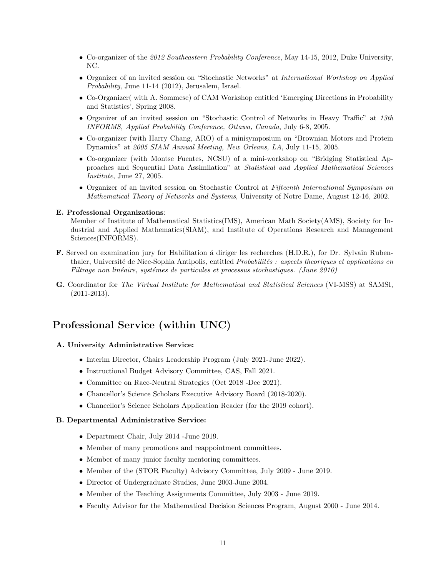- Co-organizer of the 2012 Southeastern Probability Conference, May 14-15, 2012, Duke University, NC.
- Organizer of an invited session on "Stochastic Networks" at International Workshop on Applied Probability, June 11-14 (2012), Jerusalem, Israel.
- Co-Organizer( with A. Sommese) of CAM Workshop entitled 'Emerging Directions in Probability and Statistics', Spring 2008.
- Organizer of an invited session on "Stochastic Control of Networks in Heavy Traffic" at 13th INFORMS, Applied Probability Conference, Ottawa, Canada, July 6-8, 2005.
- Co-organizer (with Harry Chang, ARO) of a minisymposium on "Brownian Motors and Protein Dynamics" at 2005 SIAM Annual Meeting, New Orleans, LA, July 11-15, 2005.
- Co-organizer (with Montse Fuentes, NCSU) of a mini-workshop on "Bridging Statistical Approaches and Sequential Data Assimilation" at Statistical and Applied Mathematical Sciences Institute, June 27, 2005.
- Organizer of an invited session on Stochastic Control at Fifteenth International Symposium on Mathematical Theory of Networks and Systems, University of Notre Dame, August 12-16, 2002.

#### E. Professional Organizations:

Member of Institute of Mathematical Statistics(IMS), American Math Society(AMS), Society for Industrial and Applied Mathematics(SIAM), and Institute of Operations Research and Management Sciences(INFORMS).

- F. Served on examination jury for Habilitation a diriger les recherches (H.D.R.), for Dr. Sylvain Rubenthaler, Université de Nice-Sophia Antipolis, entitled Probabilités : aspects theoriques et applications en  $Filtrage$  non linéaire, systémes de particules et processus stochastiques. (June 2010)
- G. Coordinator for The Virtual Institute for Mathematical and Statistical Sciences (VI-MSS) at SAMSI, (2011-2013).

## Professional Service (within UNC)

#### A. University Administrative Service:

- Interim Director, Chairs Leadership Program (July 2021-June 2022).
- Instructional Budget Advisory Committee, CAS, Fall 2021.
- Committee on Race-Neutral Strategies (Oct 2018 -Dec 2021).
- Chancellor's Science Scholars Executive Advisory Board (2018-2020).
- Chancellor's Science Scholars Application Reader (for the 2019 cohort).

#### B. Departmental Administrative Service:

- Department Chair, July 2014 -June 2019.
- Member of many promotions and reappointment committees.
- Member of many junior faculty mentoring committees.
- Member of the (STOR Faculty) Advisory Committee, July 2009 June 2019.
- Director of Undergraduate Studies, June 2003-June 2004.
- Member of the Teaching Assignments Committee, July 2003 June 2019.
- Faculty Advisor for the Mathematical Decision Sciences Program, August 2000 June 2014.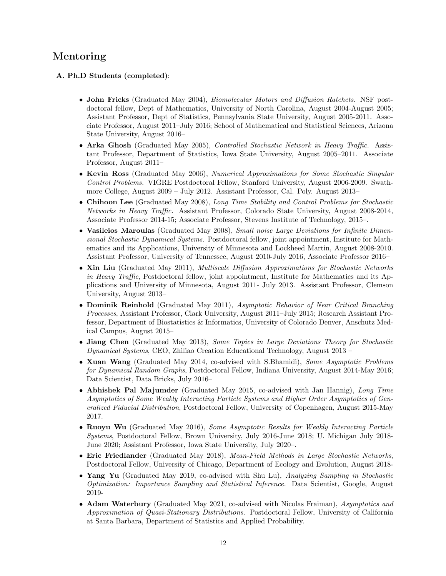## Mentoring

### A. Ph.D Students (completed):

- John Fricks (Graduated May 2004), Biomolecular Motors and Diffusion Ratchets. NSF postdoctoral fellow, Dept of Mathematics, University of North Carolina, August 2004-August 2005; Assistant Professor, Dept of Statistics, Pennsylvania State University, August 2005-2011. Associate Professor, August 2011–July 2016; School of Mathematical and Statistical Sciences, Arizona State University, August 2016–
- Arka Ghosh (Graduated May 2005), *Controlled Stochastic Network in Heavy Traffic.* Assistant Professor, Department of Statistics, Iowa State University, August 2005–2011. Associate Professor, August 2011–
- Kevin Ross (Graduated May 2006), *Numerical Approximations for Some Stochastic Singular* Control Problems. VIGRE Postdoctoral Fellow, Stanford University, August 2006-2009. Swathmore College, August 2009 – July 2012. Assistant Professor, Cal. Poly. August 2013–
- Chihoon Lee (Graduated May 2008), Long Time Stability and Control Problems for Stochastic Networks in Heavy Traffic. Assistant Professor, Colorado State University, August 2008-2014, Associate Professor 2014-15; Associate Professor, Stevens Institute of Technology, 2015–.
- Vasileios Maroulas (Graduated May 2008), Small noise Large Deviations for Infinite Dimensional Stochastic Dynamical Systems. Postdoctoral fellow, joint appointment, Institute for Mathematics and its Applications, University of Minnesota and Lockheed Martin, August 2008-2010. Assistant Professor, University of Tennessee, August 2010-July 2016, Associate Professor 2016–
- Xin Liu (Graduated May 2011), *Multiscale Diffusion Approximations for Stochastic Networks* in Heavy Traffic, Postdoctoral fellow, joint appointment, Institute for Mathematics and its Applications and University of Minnesota, August 2011- July 2013. Assistant Professor, Clemson University, August 2013–
- Dominik Reinhold (Graduated May 2011), Asymptotic Behavior of Near Critical Branching Processes, Assistant Professor, Clark University, August 2011–July 2015; Research Assistant Professor, Department of Biostatistics & Informatics, University of Colorado Denver, Anschutz Medical Campus, August 2015–
- Jiang Chen (Graduated May 2013), Some Topics in Large Deviations Theory for Stochastic Dynamical Systems, CEO, Zhiliao Creation Educational Technology, August 2013 –
- Xuan Wang (Graduated May 2014, co-advised with S.Bhamidi), Some Asymptotic Problems for Dynamical Random Graphs, Postdoctoral Fellow, Indiana University, August 2014-May 2016; Data Scientist, Data Bricks, July 2016–
- Abhishek Pal Majumder (Graduated May 2015, co-advised with Jan Hannig), Long Time Asymptotics of Some Weakly Interacting Particle Systems and Higher Order Asymptotics of Generalized Fiducial Distribution, Postdoctoral Fellow, University of Copenhagen, August 2015-May 2017.
- Ruoyu Wu (Graduated May 2016), Some Asymptotic Results for Weakly Interacting Particle Systems, Postdoctoral Fellow, Brown University, July 2016-June 2018; U. Michigan July 2018- June 2020; Assistant Professor, Iowa State University, July 2020–.
- Eric Friedlander (Graduated May 2018), Mean-Field Methods in Large Stochastic Networks, Postdoctoral Fellow, University of Chicago, Department of Ecology and Evolution, August 2018-
- Yang Yu (Graduated May 2019, co-advised with Shu Lu), Analyzing Sampling in Stochastic Optimization: Importance Sampling and Statistical Inference. Data Scientist, Google, August 2019-
- Adam Waterbury (Graduated May 2021, co-advised with Nicolas Fraiman), Asymptotics and Approximation of Quasi-Stationary Distributions. Postdoctoral Fellow, University of California at Santa Barbara, Department of Statistics and Applied Probability.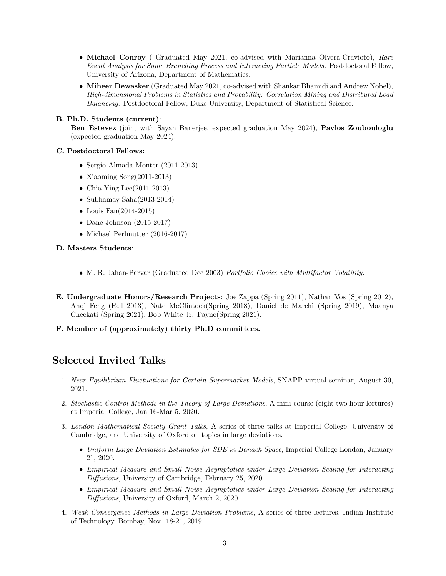- Michael Conroy (Graduated May 2021, co-advised with Marianna Olvera-Cravioto), Rare Event Analysis for Some Branching Process and Interacting Particle Models. Postdoctoral Fellow, University of Arizona, Department of Mathematics.
- Miheer Dewasker (Graduated May 2021, co-advised with Shankar Bhamidi and Andrew Nobel), High-dimensional Problems in Statistics and Probability: Correlation Mining and Distributed Load Balancing. Postdoctoral Fellow, Duke University, Department of Statistical Science.

### B. Ph.D. Students (current):

Ben Estevez (joint with Sayan Banerjee, expected graduation May 2024), Pavlos Zoubouloglu (expected graduation May 2024).

### C. Postdoctoral Fellows:

- Sergio Almada-Monter (2011-2013)
- Xiaoming Song(2011-2013)
- Chia Ying Lee $(2011-2013)$
- Subhamay Saha(2013-2014)
- Louis Fan(2014-2015)
- Dane Johnson (2015-2017)
- Michael Perlmutter (2016-2017)

### D. Masters Students:

- M. R. Jahan-Parvar (Graduated Dec 2003) Portfolio Choice with Multifactor Volatility.
- E. Undergraduate Honors/Research Projects: Joe Zappa (Spring 2011), Nathan Vos (Spring 2012), Anqi Feng (Fall 2013), Nate McClintock(Spring 2018), Daniel de Marchi (Spring 2019), Maanya Cheekati (Spring 2021), Bob White Jr. Payne(Spring 2021).

### F. Member of (approximately) thirty Ph.D committees.

# Selected Invited Talks

- 1. Near Equilibrium Fluctuations for Certain Supermarket Models, SNAPP virtual seminar, August 30, 2021.
- 2. Stochastic Control Methods in the Theory of Large Deviations, A mini-course (eight two hour lectures) at Imperial College, Jan 16-Mar 5, 2020.
- 3. London Mathematical Society Grant Talks, A series of three talks at Imperial College, University of Cambridge, and University of Oxford on topics in large deviations.
	- Uniform Large Deviation Estimates for SDE in Banach Space, Imperial College London, January 21, 2020.
	- Empirical Measure and Small Noise Asymptotics under Large Deviation Scaling for Interacting Diffusions, University of Cambridge, February 25, 2020.
	- Empirical Measure and Small Noise Asymptotics under Large Deviation Scaling for Interacting Diffusions, University of Oxford, March 2, 2020.
- 4. Weak Convergence Methods in Large Deviation Problems, A series of three lectures, Indian Institute of Technology, Bombay, Nov. 18-21, 2019.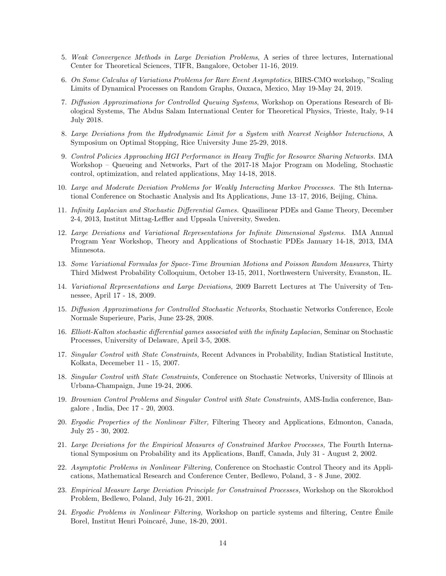- 5. Weak Convergence Methods in Large Deviation Problems, A series of three lectures, International Center for Theoretical Sciences, TIFR, Bangalore, October 11-16, 2019.
- 6. On Some Calculus of Variations Problems for Rare Event Asymptotics, BIRS-CMO workshop, "Scaling Limits of Dynamical Processes on Random Graphs, Oaxaca, Mexico, May 19-May 24, 2019.
- 7. Diffusion Approximations for Controlled Queuing Systems, Workshop on Operations Research of Biological Systems, The Abdus Salam International Center for Theoretical Physics, Trieste, Italy, 9-14 July 2018.
- 8. Large Deviations from the Hydrodynamic Limit for a System with Nearest Neighbor Interactions, A Symposium on Optimal Stopping, Rice University June 25-29, 2018.
- 9. Control Policies Approaching HGI Performance in Heavy Traffic for Resource Sharing Networks. IMA Workshop – Queueing and Networks, Part of the 2017-18 Major Program on Modeling, Stochastic control, optimization, and related applications, May 14-18, 2018.
- 10. Large and Moderate Deviation Problems for Weakly Interacting Markov Processes. The 8th International Conference on Stochastic Analysis and Its Applications, June 13–17, 2016, Beijing, China.
- 11. Infinity Laplacian and Stochastic Differential Games. Quasilinear PDEs and Game Theory, December 2-4, 2013, Institut Mittag-Leffler and Uppsala University, Sweden.
- 12. Large Deviations and Variational Representations for Infinite Dimensional Systems. IMA Annual Program Year Workshop, Theory and Applications of Stochastic PDEs January 14-18, 2013, IMA Minnesota.
- 13. Some Variational Formulas for Space-Time Brownian Motions and Poisson Random Measures, Thirty Third Midwest Probability Colloquium, October 13-15, 2011, Northwestern University, Evanston, IL.
- 14. Variational Representations and Large Deviations, 2009 Barrett Lectures at The University of Tennessee, April 17 - 18, 2009.
- 15. Diffusion Approximations for Controlled Stochastic Networks, Stochastic Networks Conference, Ecole Normale Superieure, Paris, June 23-28, 2008.
- 16. Elliott-Kalton stochastic differential games associated with the infinity Laplacian, Seminar on Stochastic Processes, University of Delaware, April 3-5, 2008.
- 17. Singular Control with State Constraints, Recent Advances in Probability, Indian Statistical Institute, Kolkata, Decemeber 11 - 15, 2007.
- 18. Singular Control with State Constraints, Conference on Stochastic Networks, University of Illinois at Urbana-Champaign, June 19-24, 2006.
- 19. Brownian Control Problems and Singular Control with State Constraints, AMS-India conference, Bangalore , India, Dec 17 - 20, 2003.
- 20. Ergodic Properties of the Nonlinear Filter, Filtering Theory and Applications, Edmonton, Canada, July 25 - 30, 2002.
- 21. Large Deviations for the Empirical Measures of Constrained Markov Processes, The Fourth International Symposium on Probability and its Applications, Banff, Canada, July 31 - August 2, 2002.
- 22. Asymptotic Problems in Nonlinear Filtering, Conference on Stochastic Control Theory and its Applications, Mathematical Research and Conference Center, Bedlewo, Poland, 3 - 8 June, 2002.
- 23. Empirical Measure Large Deviation Principle for Constrained Processes, Workshop on the Skorokhod Problem, Bedlewo, Poland, July 16-21, 2001.
- 24. Ergodic Problems in Nonlinear Filtering, Workshop on particle systems and filtering, Centre Emile ´ Borel, Institut Henri Poincaré, June, 18-20, 2001.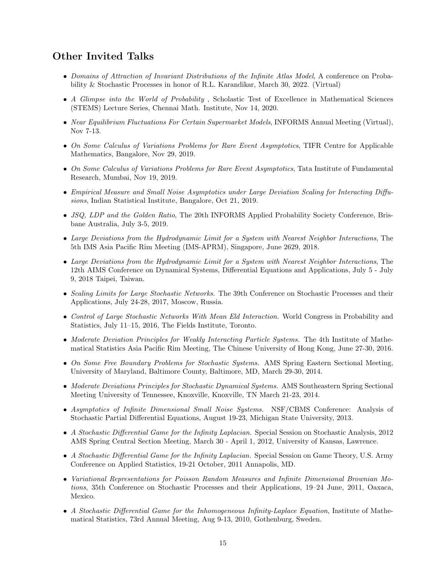## Other Invited Talks

- Domains of Attraction of Invariant Distributions of the Infinite Atlas Model, A conference on Probability & Stochastic Processes in honor of R.L. Karandikar, March 30, 2022. (Virtual)
- A Glimpse into the World of Probability, Scholastic Test of Excellence in Mathematical Sciences (STEMS) Lecture Series, Chennai Math. Institute, Nov 14, 2020.
- Near Equilibrium Fluctuations For Certain Supermarket Models, INFORMS Annual Meeting (Virtual), Nov 7-13.
- On Some Calculus of Variations Problems for Rare Event Asymptotics, TIFR Centre for Applicable Mathematics, Bangalore, Nov 29, 2019.
- On Some Calculus of Variations Problems for Rare Event Asymptotics, Tata Institute of Fundamental Research, Mumbai, Nov 19, 2019.
- Empirical Measure and Small Noise Asymptotics under Large Deviation Scaling for Interacting Diffusions, Indian Statistical Institute, Bangalore, Oct 21, 2019.
- JSQ, LDP and the Golden Ratio, The 20th INFORMS Applied Probability Society Conference, Brisbane Australia, July 3-5, 2019.
- Large Deviations from the Hydrodynamic Limit for a System with Nearest Neighbor Interactions, The 5th IMS Asia Pacific Rim Meeting (IMS-APRM), Singapore, June 2629, 2018.
- Large Deviations from the Hydrodynamic Limit for a System with Nearest Neighbor Interactions, The 12th AIMS Conference on Dynamical Systems, Differential Equations and Applications, July 5 - July 9, 2018 Taipei, Taiwan.
- Scaling Limits for Large Stochastic Networks. The 39th Conference on Stochastic Processes and their Applications, July 24-28, 2017, Moscow, Russia.
- Control of Large Stochastic Networks With Mean Eld Interaction. World Congress in Probability and Statistics, July 11–15, 2016, The Fields Institute, Toronto.
- Moderate Deviation Principles for Weakly Interacting Particle Systems. The 4th Institute of Mathematical Statistics Asia Pacific Rim Meeting, The Chinese University of Hong Kong, June 27-30, 2016.
- On Some Free Boundary Problems for Stochastic Systems. AMS Spring Eastern Sectional Meeting, University of Maryland, Baltimore County, Baltimore, MD, March 29-30, 2014.
- Moderate Deviations Principles for Stochastic Dynamical Systems. AMS Southeastern Spring Sectional Meeting University of Tennessee, Knoxville, Knoxville, TN March 21-23, 2014.
- Asymptotics of Infinite Dimensional Small Noise Systems. NSF/CBMS Conference: Analysis of Stochastic Partial Differential Equations, August 19-23, Michigan State University, 2013.
- A Stochastic Differential Game for the Infinity Laplacian. Special Session on Stochastic Analysis, 2012 AMS Spring Central Section Meeting, March 30 - April 1, 2012, University of Kansas, Lawrence.
- A Stochastic Differential Game for the Infinity Laplacian. Special Session on Game Theory, U.S. Army Conference on Applied Statistics, 19-21 October, 2011 Annapolis, MD.
- Variational Representations for Poisson Random Measures and Infinite Dimensional Brownian Motions, 35th Conference on Stochastic Processes and their Applications, 19–24 June, 2011, Oaxaca, Mexico.
- A Stochastic Differential Game for the Inhomogeneous Infinity-Laplace Equation, Institute of Mathematical Statistics, 73rd Annual Meeting, Aug 9-13, 2010, Gothenburg, Sweden.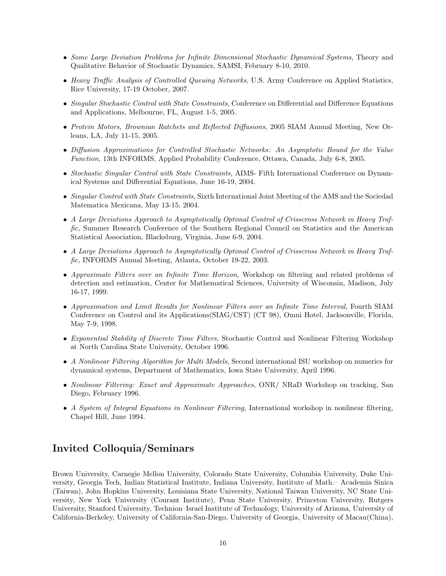- Some Large Deviation Problems for Infinite Dimensional Stochastic Dynamical Systems, Theory and Qualitative Behavior of Stochastic Dynamics, SAMSI, February 8-10, 2010.
- Heavy Traffic Analysis of Controlled Queuing Networks, U.S. Army Conference on Applied Statistics, Rice University, 17-19 October, 2007.
- Singular Stochastic Control with State Constraints, Conference on Differential and Difference Equations and Applications, Melbourne, FL, August 1-5, 2005.
- Protein Motors, Brownian Ratchets and Reflected Diffusions, 2005 SIAM Annual Meeting, New Orleans, LA, July 11-15, 2005.
- Diffusion Approximations for Controlled Stochastic Networks: An Asymptotic Bound for the Value Function, 13th INFORMS, Applied Probability Conference, Ottawa, Canada, July 6-8, 2005.
- Stochastic Singular Control with State Constraints, AIMS- Fifth International Conference on Dynamical Systems and Differential Equations, June 16-19, 2004.
- Singular Control with State Constraints, Sixth International Joint Meeting of the AMS and the Sociedad Matematica Mexicana, May 13-15, 2004.
- A Large Deviations Approach to Asymptotically Optimal Control of Crisscross Network in Heavy Traffic, Summer Research Conference of the Southern Regional Council on Statistics and the American Statistical Association, Blacksburg, Virginia, June 6-9, 2004.
- A Large Deviations Approach to Asymptotically Optimal Control of Crisscross Network in Heavy Traffic, INFORMS Annual Meeting, Atlanta, October 19-22, 2003.
- Approximate Filters over an Infinite Time Horizon, Workshop on filtering and related problems of detection and estimation, Center for Mathematical Sciences, University of Wisconsin, Madison, July 16-17, 1999.
- Approximation and Limit Results for Nonlinear Filters over an Infinite Time Interval, Fourth SIAM Conference on Control and its Applications(SIAG/CST) (CT 98), Omni Hotel, Jacksonville, Florida, May 7-9, 1998.
- Exponential Stability of Discrete Time Filters, Stochastic Control and Nonlinear Filtering Workshop at North Carolina State University, October 1996.
- A Nonlinear Filtering Algorithm for Multi Models, Second international ISU workshop on numerics for dynamical systems, Department of Mathematics, Iowa State University, April 1996.
- Nonlinear Filtering: Exact and Approximate Approaches, ONR/ NRaD Workshop on tracking, San Diego, February 1996.
- A System of Integral Equations in Nonlinear Filtering, International workshop in nonlinear filtering, Chapel Hill, June 1994.

# Invited Colloquia/Seminars

Brown University, Carnegie Mellon University, Colorado State University, Columbia University, Duke University, Georgia Tech, Indian Statistical Institute, Indiana University, Institute of Math.– Academia Sinica (Taiwan), John Hopkins University, Louisiana State University, National Taiwan University, NC State University, New York University (Courant Institute), Penn State University, Princeton University, Rutgers University, Stanford University, Technion–Israel Institute of Technology, University of Arizona, University of California-Berkeley, University of California-San-Diego, University of Georgia, University of Macau(China),